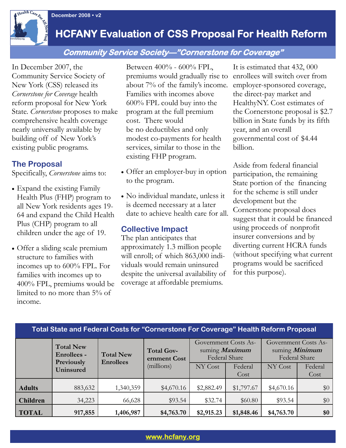**December 2008 • v2**<br>**December 2008 • v2** 

## **HCFANY Evaluation of CSS Proposal For Health Reform**

## **Community Service Society—"Cornerstone for Coverage"**

In December 2007, the Community Service Society of New York (CSS) released its *Cornerstone for Coverage* health reform proposal for New York State. *Cornerstone* proposes to make comprehensive health coverage nearly universally available by building off of New York's existing public programs.

## **The Proposal**

Specifically, *Cornerstone* aims to:

- Expand the existing Family Health Plus (FHP) program to all New York residents ages 19- 64 and expand the Child Health Plus (CHP) program to all children under the age of 19.
- Offer a sliding scale premium structure to families with incomes up to 600% FPL. For families with incomes up to 400% FPL, premiums would be limited to no more than 5% of income.

Between 400% - 600% FPL, premiums would gradually rise to about 7% of the family's income. Families with incomes above 600% FPL could buy into the program at the full premium cost. There would be no deductibles and only modest co-payments for health services, similar to those in the existing FHP program.

- Offer an employer-buy in option to the program.
- No individual mandate, unless it is deemed necessary at a later date to achieve health care for all.

### **Collective Impact**

The plan anticipates that approximately 1.3 million people will enroll; of which 863,000 individuals would remain uninsured despite the universal availability of coverage at affordable premiums.

It is estimated that 432, 000 enrollees will switch over from employer-sponsored coverage, the direct-pay market and HealthyNY. Cost estimates of the Cornerstone proposal is \$2.7 billion in State funds by its fifth year, and an overall governmental cost of \$4.44 billion.

Aside from federal financial participation, the remaining State portion of the financing for the scheme is still under development but the Cornerstone proposal does suggest that it could be financed using proceeds of nonprofit insurer conversions and by diverting current HCRA funds (without specifying what current programs would be sacrificed for this purpose).

| Total State and Federal Costs for "Cornerstone For Coverage" Health Reform Proposal |                                                      |                                      |                                                 |                                                                |                 |                                                                |                 |
|-------------------------------------------------------------------------------------|------------------------------------------------------|--------------------------------------|-------------------------------------------------|----------------------------------------------------------------|-----------------|----------------------------------------------------------------|-----------------|
|                                                                                     | <b>Total New</b><br><b>Enrollees -</b><br>Previously | <b>Total New</b><br><b>Enrollees</b> | <b>Total Gov-</b><br>ernment Cost<br>(millions) | Government Costs As-<br>suming <i>Maximum</i><br>Federal Share |                 | Government Costs As-<br>suming <i>Minimum</i><br>Federal Share |                 |
|                                                                                     | Uninsured                                            |                                      |                                                 | NY Cost                                                        | Federal<br>Cost | NY Cost                                                        | Federal<br>Cost |
| <b>Adults</b>                                                                       | 883,632                                              | 1,340,359                            | \$4,670.16                                      | \$2,882.49                                                     | \$1,797.67      | \$4,670.16                                                     | \$0             |
| <b>Children</b>                                                                     | 34,223                                               | 66,628                               | \$93.54                                         | \$32.74                                                        | \$60.80         | \$93.54                                                        | \$0             |
| <b>TOTAL</b>                                                                        | 917,855                                              | 1,406,987                            | \$4,763.70                                      | \$2,915.23                                                     | \$1,848.46      | \$4,763.70                                                     | \$0             |

#### **Total State and Federal Costs for "Cornerstone For Coverage" Health Reform Proposal**

#### **www.hcfany.org**